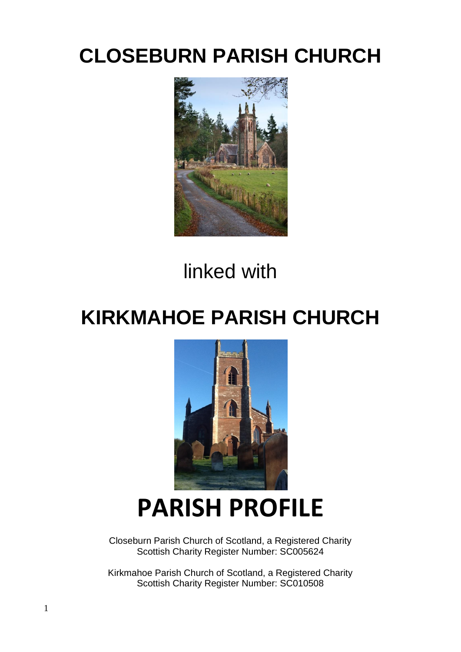# **CLOSEBURN PARISH CHURCH**



# linked with

# **KIRKMAHOE PARISH CHURCH**



# **PARISH PROFILE**

Closeburn Parish Church of Scotland, a Registered Charity Scottish Charity Register Number: SC005624

Kirkmahoe Parish Church of Scotland, a Registered Charity Scottish Charity Register Number: SC010508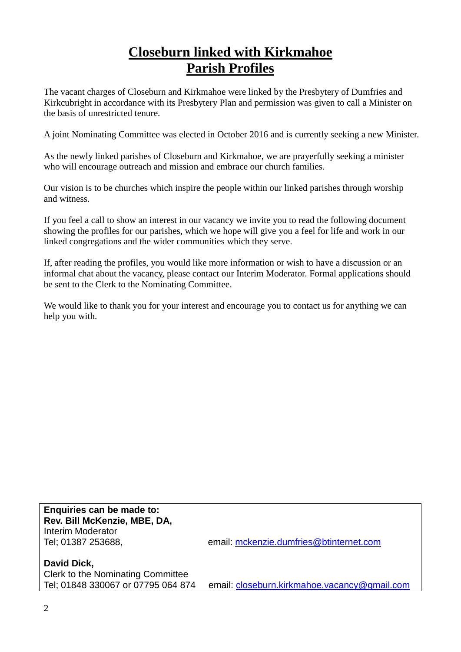## **Closeburn linked with Kirkmahoe Parish Profiles**

The vacant charges of Closeburn and Kirkmahoe were linked by the Presbytery of Dumfries and Kirkcubright in accordance with its Presbytery Plan and permission was given to call a Minister on the basis of unrestricted tenure.

A joint Nominating Committee was elected in October 2016 and is currently seeking a new Minister.

As the newly linked parishes of Closeburn and Kirkmahoe, we are prayerfully seeking a minister who will encourage outreach and mission and embrace our church families.

Our vision is to be churches which inspire the people within our linked parishes through worship and witness.

If you feel a call to show an interest in our vacancy we invite you to read the following document showing the profiles for our parishes, which we hope will give you a feel for life and work in our linked congregations and the wider communities which they serve.

If, after reading the profiles, you would like more information or wish to have a discussion or an informal chat about the vacancy, please contact our Interim Moderator. Formal applications should be sent to the Clerk to the Nominating Committee.

We would like to thank you for your interest and encourage you to contact us for anything we can help you with.

**Enquiries can be made to: Rev. Bill McKenzie, MBE, DA,**  Interim Moderator

Tel; 01387 253688, email: [mckenzie.dumfries@btinternet.com](mailto:mckenzie.dumfries@btinternet.com)

**David Dick,**  Clerk to the Nominating Committee Tel; 01848 330067 or 07795 064 874 email: [closeburn.kirkmahoe.vacancy@gmail.com](mailto:closeburn.kirkmahoe.vacancy@gmail.com)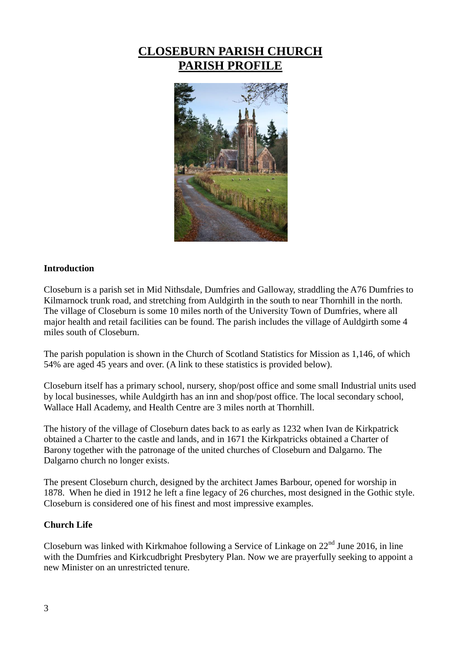### **CLOSEBURN PARISH CHURCH PARISH PROFILE**



#### **Introduction**

Closeburn is a parish set in Mid Nithsdale, Dumfries and Galloway, straddling the A76 Dumfries to Kilmarnock trunk road, and stretching from Auldgirth in the south to near Thornhill in the north. The village of Closeburn is some 10 miles north of the University Town of Dumfries, where all major health and retail facilities can be found. The parish includes the village of Auldgirth some 4 miles south of Closeburn.

The parish population is shown in the Church of Scotland Statistics for Mission as 1,146, of which 54% are aged 45 years and over. (A link to these statistics is provided below).

Closeburn itself has a primary school, nursery, shop/post office and some small Industrial units used by local businesses, while Auldgirth has an inn and shop/post office. The local secondary school, Wallace Hall Academy, and Health Centre are 3 miles north at Thornhill.

The history of the village of Closeburn dates back to as early as 1232 when Ivan de Kirkpatrick obtained a Charter to the castle and lands, and in 1671 the Kirkpatricks obtained a Charter of Barony together with the patronage of the united churches of Closeburn and Dalgarno. The Dalgarno church no longer exists.

The present Closeburn church, designed by the architect James Barbour, opened for worship in 1878. When he died in 1912 he left a fine legacy of 26 churches, most designed in the Gothic style. Closeburn is considered one of his finest and most impressive examples.

#### **Church Life**

Closeburn was linked with Kirkmahoe following a Service of Linkage on  $22<sup>nd</sup>$  June 2016, in line with the Dumfries and Kirkcudbright Presbytery Plan. Now we are prayerfully seeking to appoint a new Minister on an unrestricted tenure.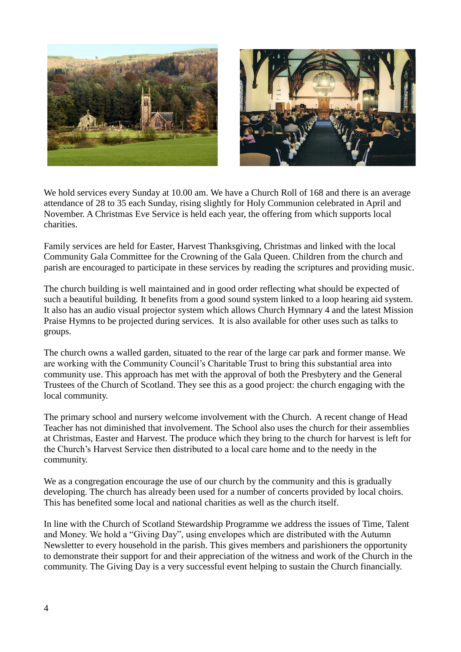



We hold services every Sunday at 10.00 am. We have a Church Roll of 168 and there is an average attendance of 28 to 35 each Sunday, rising slightly for Holy Communion celebrated in April and November. A Christmas Eve Service is held each year, the offering from which supports local charities.

Family services are held for Easter, Harvest Thanksgiving, Christmas and linked with the local Community Gala Committee for the Crowning of the Gala Queen. Children from the church and parish are encouraged to participate in these services by reading the scriptures and providing music.

The church building is well maintained and in good order reflecting what should be expected of such a beautiful building. It benefits from a good sound system linked to a loop hearing aid system. It also has an audio visual projector system which allows Church Hymnary 4 and the latest Mission Praise Hymns to be projected during services. It is also available for other uses such as talks to groups.

The church owns a walled garden, situated to the rear of the large car park and former manse. We are working with the Community Council's Charitable Trust to bring this substantial area into community use. This approach has met with the approval of both the Presbytery and the General Trustees of the Church of Scotland. They see this as a good project: the church engaging with the local community.

The primary school and nursery welcome involvement with the Church. A recent change of Head Teacher has not diminished that involvement. The School also uses the church for their assemblies at Christmas, Easter and Harvest. The produce which they bring to the church for harvest is left for the Church's Harvest Service then distributed to a local care home and to the needy in the community.

We as a congregation encourage the use of our church by the community and this is gradually developing. The church has already been used for a number of concerts provided by local choirs. This has benefited some local and national charities as well as the church itself.

In line with the Church of Scotland Stewardship Programme we address the issues of Time, Talent and Money. We hold a "Giving Day", using envelopes which are distributed with the Autumn Newsletter to every household in the parish. This gives members and parishioners the opportunity to demonstrate their support for and their appreciation of the witness and work of the Church in the community. The Giving Day is a very successful event helping to sustain the Church financially.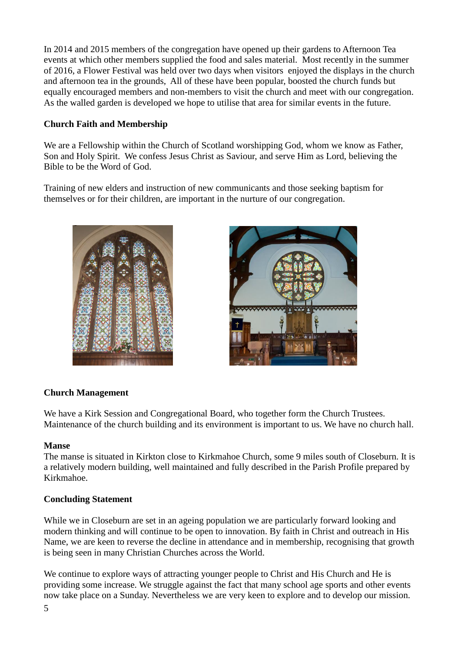In 2014 and 2015 members of the congregation have opened up their gardens to Afternoon Tea events at which other members supplied the food and sales material. Most recently in the summer of 2016, a Flower Festival was held over two days when visitors enjoyed the displays in the church and afternoon tea in the grounds, All of these have been popular, boosted the church funds but equally encouraged members and non-members to visit the church and meet with our congregation. As the walled garden is developed we hope to utilise that area for similar events in the future.

#### **Church Faith and Membership**

We are a Fellowship within the Church of Scotland worshipping God, whom we know as Father, Son and Holy Spirit. We confess Jesus Christ as Saviour, and serve Him as Lord, believing the Bible to be the Word of God.

Training of new elders and instruction of new communicants and those seeking baptism for themselves or for their children, are important in the nurture of our congregation.





#### **Church Management**

We have a Kirk Session and Congregational Board, who together form the Church Trustees. Maintenance of the church building and its environment is important to us. We have no church hall.

#### **Manse**

The manse is situated in Kirkton close to Kirkmahoe Church, some 9 miles south of Closeburn. It is a relatively modern building, well maintained and fully described in the Parish Profile prepared by Kirkmahoe.

#### **Concluding Statement**

While we in Closeburn are set in an ageing population we are particularly forward looking and modern thinking and will continue to be open to innovation. By faith in Christ and outreach in His Name, we are keen to reverse the decline in attendance and in membership, recognising that growth is being seen in many Christian Churches across the World.

We continue to explore ways of attracting younger people to Christ and His Church and He is providing some increase. We struggle against the fact that many school age sports and other events now take place on a Sunday. Nevertheless we are very keen to explore and to develop our mission.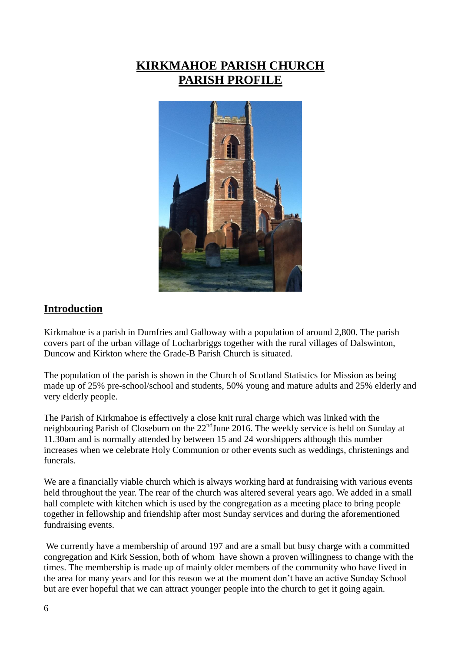## **KIRKMAHOE PARISH CHURCH PARISH PROFILE**



#### **Introduction**

Kirkmahoe is a parish in Dumfries and Galloway with a population of around 2,800. The parish covers part of the urban village of Locharbriggs together with the rural villages of Dalswinton, Duncow and Kirkton where the Grade-B Parish Church is situated.

The population of the parish is shown in the Church of Scotland Statistics for Mission as being made up of 25% pre-school/school and students, 50% young and mature adults and 25% elderly and very elderly people.

The Parish of Kirkmahoe is effectively a close knit rural charge which was linked with the neighbouring Parish of Closeburn on the 22<sup>nd</sup>June 2016. The weekly service is held on Sunday at 11.30am and is normally attended by between 15 and 24 worshippers although this number increases when we celebrate Holy Communion or other events such as weddings, christenings and funerals.

We are a financially viable church which is always working hard at fundraising with various events held throughout the year. The rear of the church was altered several years ago. We added in a small hall complete with kitchen which is used by the congregation as a meeting place to bring people together in fellowship and friendship after most Sunday services and during the aforementioned fundraising events.

We currently have a membership of around 197 and are a small but busy charge with a committed congregation and Kirk Session, both of whom have shown a proven willingness to change with the times. The membership is made up of mainly older members of the community who have lived in the area for many years and for this reason we at the moment don't have an active Sunday School but are ever hopeful that we can attract younger people into the church to get it going again.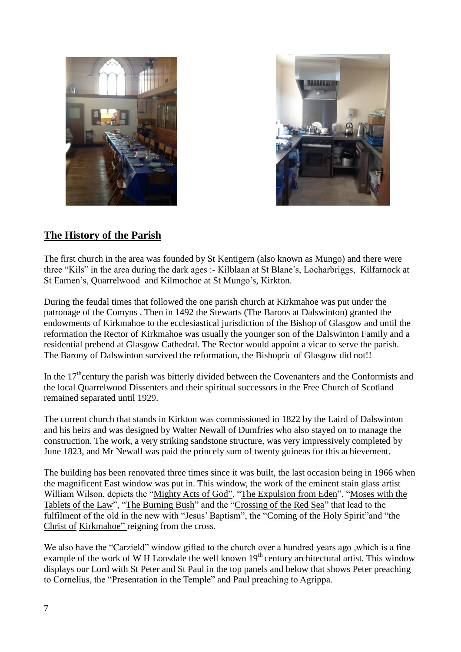



#### **The History of the Parish**

The first church in the area was founded by St Kentigern (also known as Mungo) and there were three "Kils" in the area during the dark ages :- Kilblaan at St Blane's, Locharbriggs, Kilfarnock at St Earnen's, Quarrelwood and Kilmochoe at St Mungo's, Kirkton.

During the feudal times that followed the one parish church at Kirkmahoe was put under the patronage of the Comyns . Then in 1492 the Stewarts (The Barons at Dalswinton) granted the endowments of Kirkmahoe to the ecclesiastical jurisdiction of the Bishop of Glasgow and until the reformation the Rector of Kirkmahoe was usually the younger son of the Dalswinton Family and a residential prebend at Glasgow Cathedral. The Rector would appoint a vicar to serve the parish. The Barony of Dalswinton survived the reformation, the Bishopric of Glasgow did not!!

In the  $17<sup>th</sup>$ century the parish was bitterly divided between the Covenanters and the Conformists and the local Quarrelwood Dissenters and their spiritual successors in the Free Church of Scotland remained separated until 1929.

The current church that stands in Kirkton was commissioned in 1822 by the Laird of Dalswinton and his heirs and was designed by Walter Newall of Dumfries who also stayed on to manage the construction. The work, a very striking sandstone structure, was very impressively completed by June 1823, and Mr Newall was paid the princely sum of twenty guineas for this achievement.

The building has been renovated three times since it was built, the last occasion being in 1966 when the magnificent East window was put in. This window, the work of the eminent stain glass artist William Wilson, depicts the "Mighty Acts of God", "The Expulsion from Eden", "Moses with the Tablets of the Law", "The Burning Bush" and the "Crossing of the Red Sea" that lead to the fulfilment of the old in the new with "Jesus' Baptism", the "Coming of the Holy Spirit"and "the Christ of Kirkmahoe" reigning from the cross.

We also have the "Carzield" window gifted to the church over a hundred years ago ,which is a fine example of the work of W H Lonsdale the well known  $19<sup>th</sup>$  century architectural artist. This window displays our Lord with St Peter and St Paul in the top panels and below that shows Peter preaching to Cornelius, the "Presentation in the Temple" and Paul preaching to Agrippa.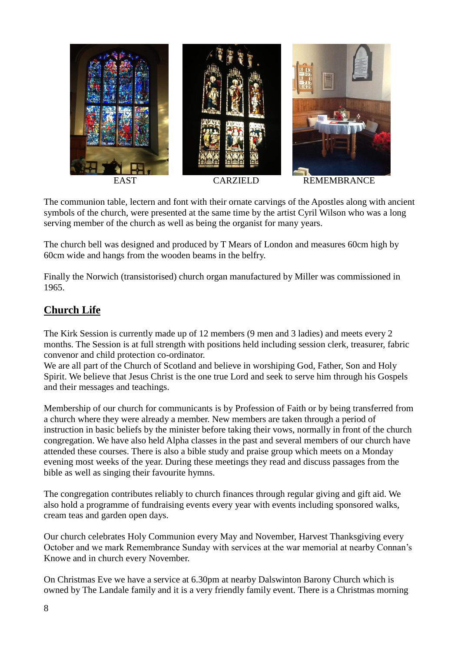

The communion table, lectern and font with their ornate carvings of the Apostles along with ancient symbols of the church, were presented at the same time by the artist Cyril Wilson who was a long serving member of the church as well as being the organist for many years.

The church bell was designed and produced by T Mears of London and measures 60cm high by 60cm wide and hangs from the wooden beams in the belfry.

Finally the Norwich (transistorised) church organ manufactured by Miller was commissioned in 1965.

#### **Church Life**

The Kirk Session is currently made up of 12 members (9 men and 3 ladies) and meets every 2 months. The Session is at full strength with positions held including session clerk, treasurer, fabric convenor and child protection co-ordinator.

We are all part of the Church of Scotland and believe in worshiping God, Father, Son and Holy Spirit. We believe that Jesus Christ is the one true Lord and seek to serve him through his Gospels and their messages and teachings.

Membership of our church for communicants is by Profession of Faith or by being transferred from a church where they were already a member. New members are taken through a period of instruction in basic beliefs by the minister before taking their vows, normally in front of the church congregation. We have also held Alpha classes in the past and several members of our church have attended these courses. There is also a bible study and praise group which meets on a Monday evening most weeks of the year. During these meetings they read and discuss passages from the bible as well as singing their favourite hymns.

The congregation contributes reliably to church finances through regular giving and gift aid. We also hold a programme of fundraising events every year with events including sponsored walks, cream teas and garden open days.

Our church celebrates Holy Communion every May and November, Harvest Thanksgiving every October and we mark Remembrance Sunday with services at the war memorial at nearby Connan's Knowe and in church every November.

On Christmas Eve we have a service at 6.30pm at nearby Dalswinton Barony Church which is owned by The Landale family and it is a very friendly family event. There is a Christmas morning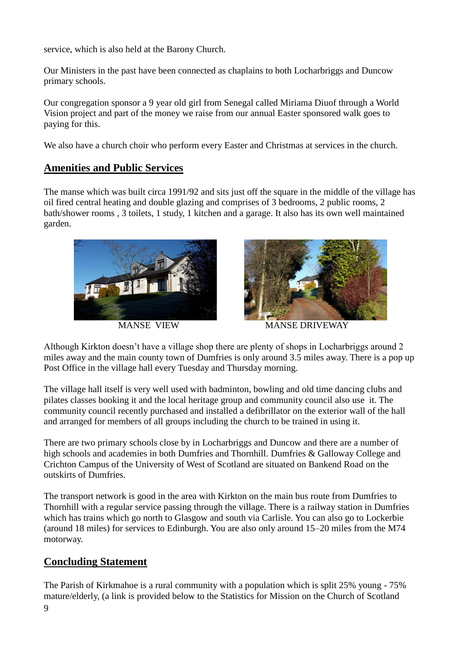service, which is also held at the Barony Church.

Our Ministers in the past have been connected as chaplains to both Locharbriggs and Duncow primary schools.

Our congregation sponsor a 9 year old girl from Senegal called Miriama Diuof through a World Vision project and part of the money we raise from our annual Easter sponsored walk goes to paying for this.

We also have a church choir who perform every Easter and Christmas at services in the church.

#### **Amenities and Public Services**

The manse which was built circa 1991/92 and sits just off the square in the middle of the village has oil fired central heating and double glazing and comprises of 3 bedrooms, 2 public rooms, 2 bath/shower rooms , 3 toilets, 1 study, 1 kitchen and a garage. It also has its own well maintained garden.





MANSE VIEW MANSE DRIVEWAY

Although Kirkton doesn't have a village shop there are plenty of shops in Locharbriggs around 2 miles away and the main county town of Dumfries is only around 3.5 miles away. There is a pop up Post Office in the village hall every Tuesday and Thursday morning.

The village hall itself is very well used with badminton, bowling and old time dancing clubs and pilates classes booking it and the local heritage group and community council also use it. The community council recently purchased and installed a defibrillator on the exterior wall of the hall and arranged for members of all groups including the church to be trained in using it.

There are two primary schools close by in Locharbriggs and Duncow and there are a number of high schools and academies in both Dumfries and Thornhill. Dumfries & Galloway College and Crichton Campus of the University of West of Scotland are situated on Bankend Road on the outskirts of Dumfries.

The transport network is good in the area with Kirkton on the main bus route from Dumfries to Thornhill with a regular service passing through the village. There is a railway station in Dumfries which has trains which go north to Glasgow and south via Carlisle. You can also go to Lockerbie (around 18 miles) for services to Edinburgh. You are also only around 15–20 miles from the M74 motorway.

#### **Concluding Statement**

9 The Parish of Kirkmahoe is a rural community with a population which is split 25% young - 75% mature/elderly, (a link is provided below to the Statistics for Mission on the Church of Scotland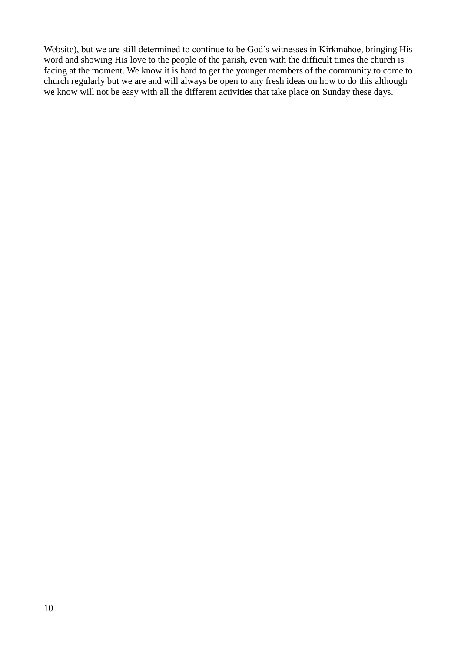Website), but we are still determined to continue to be God's witnesses in Kirkmahoe, bringing His word and showing His love to the people of the parish, even with the difficult times the church is facing at the moment. We know it is hard to get the younger members of the community to come to church regularly but we are and will always be open to any fresh ideas on how to do this although we know will not be easy with all the different activities that take place on Sunday these days.